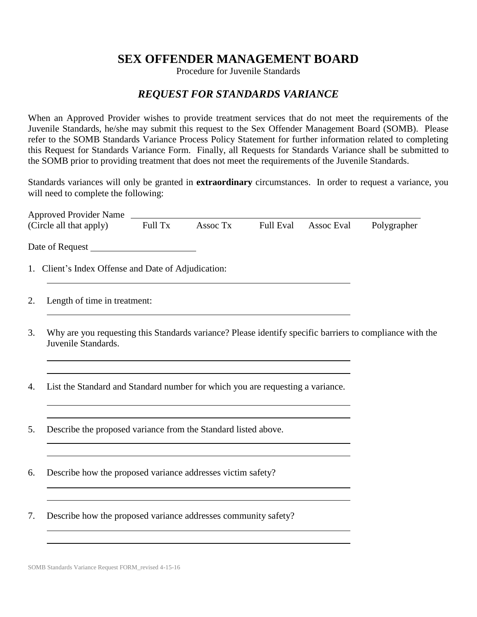## **SEX OFFENDER MANAGEMENT BOARD**

Procedure for Juvenile Standards

## *REQUEST FOR STANDARDS VARIANCE*

When an Approved Provider wishes to provide treatment services that do not meet the requirements of the Juvenile Standards, he/she may submit this request to the Sex Offender Management Board (SOMB). Please refer to the SOMB Standards Variance Process Policy Statement for further information related to completing this Request for Standards Variance Form. Finally, all Requests for Standards Variance shall be submitted to the SOMB prior to providing treatment that does not meet the requirements of the Juvenile Standards.

Standards variances will only be granted in **extraordinary** circumstances. In order to request a variance, you will need to complete the following:

| <b>Approved Provider Name</b>                                                                                                         |         |          |                  |            |             |
|---------------------------------------------------------------------------------------------------------------------------------------|---------|----------|------------------|------------|-------------|
| (Circle all that apply)                                                                                                               | Full Tx | Assoc Tx | <b>Full Eval</b> | Assoc Eval | Polygrapher |
|                                                                                                                                       |         |          |                  |            |             |
| 1. Client's Index Offense and Date of Adjudication:                                                                                   |         |          |                  |            |             |
| Length of time in treatment:<br>2.                                                                                                    |         |          |                  |            |             |
| 3.<br>Why are you requesting this Standards variance? Please identify specific barriers to compliance with the<br>Juvenile Standards. |         |          |                  |            |             |
| List the Standard and Standard number for which you are requesting a variance.<br>4.                                                  |         |          |                  |            |             |
| Describe the proposed variance from the Standard listed above.<br>5.                                                                  |         |          |                  |            |             |
| Describe how the proposed variance addresses victim safety?<br>6.                                                                     |         |          |                  |            |             |
| Describe how the proposed variance addresses community safety?<br>7.                                                                  |         |          |                  |            |             |
|                                                                                                                                       |         |          |                  |            |             |